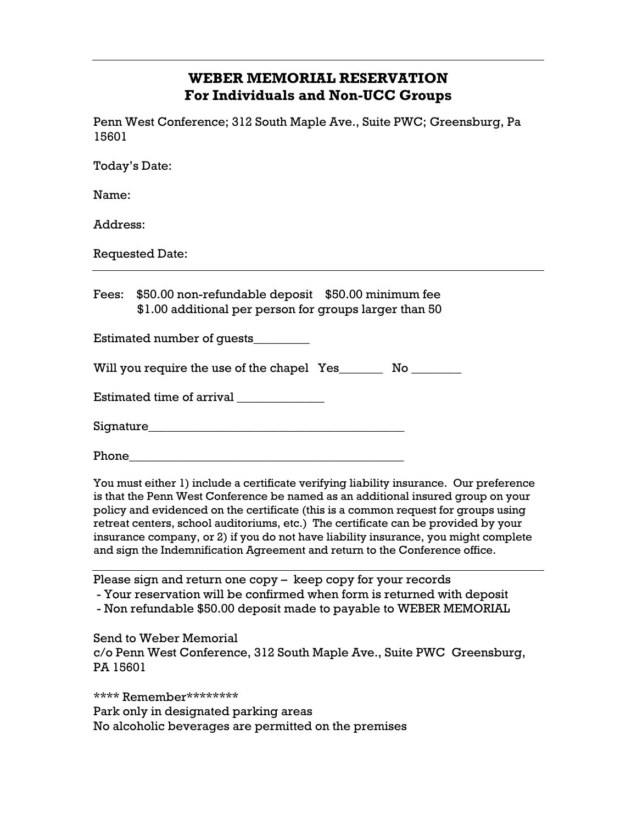## **WEBER MEMORIAL RESERVATION For Individuals and Non-UCC Groups**

Penn West Conference; 312 South Maple Ave., Suite PWC; Greensburg, Pa 15601

Today's Date:

Name:

Address:

Requested Date:

Fees: \$50.00 non-refundable deposit \$50.00 minimum fee \$1.00 additional per person for groups larger than 50

Estimated number of guests\_\_\_\_\_\_\_\_\_

Will you require the use of the chapel Yes\_\_\_\_\_\_\_\_ No \_\_\_\_\_\_\_\_

 $\rm Estimated$  time of arrival  $\rm$ 

Signature\_\_\_\_\_\_\_\_\_\_\_\_\_\_\_\_\_\_\_\_\_\_\_\_\_\_\_\_\_\_\_\_\_\_\_\_\_\_\_\_\_

Phone\_\_\_\_\_\_\_\_\_\_\_\_\_\_\_\_\_\_\_\_\_\_\_\_\_\_\_\_\_\_\_\_\_\_\_\_\_\_\_\_\_\_\_\_

You must either 1) include a certificate verifying liability insurance. Our preference is that the Penn West Conference be named as an additional insured group on your policy and evidenced on the certificate (this is a common request for groups using retreat centers, school auditoriums, etc.) The certificate can be provided by your insurance company, or 2) if you do not have liability insurance, you might complete and sign the Indemnification Agreement and return to the Conference office.

Please sign and return one copy – keep copy for your records

- Your reservation will be confirmed when form is returned with deposit

- Non refundable \$50.00 deposit made to payable to WEBER MEMORIAL

Send to Weber Memorial c/o Penn West Conference, 312 South Maple Ave., Suite PWC Greensburg, PA 15601

\*\*\*\* Remember\*\*\*\*\*\*\*\*

Park only in designated parking areas

No alcoholic beverages are permitted on the premises